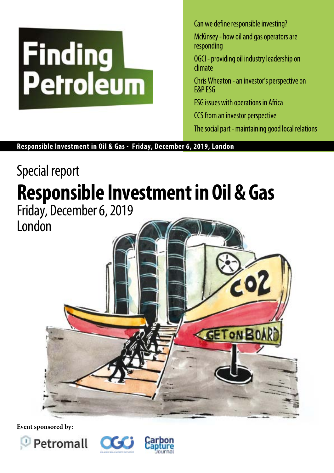# **Finding**<br>Petroleum

Can we define responsible investing?

McKinsey - how oil and gas operators are responding

OGCI - providing oil industry leadership on climate

Chris Wheaton - an investor's perspective on E&P ESG

ESG issues with operations in Africa

CCS from an investor perspective

The social part - maintaining good local relations

**Responsible Investment in Oil & Gas - Friday, December 6, 2019, London**

# Special report **Responsible Investment in Oil & Gas**  Friday, December 6, 2019 London



**Event sponsored by:**





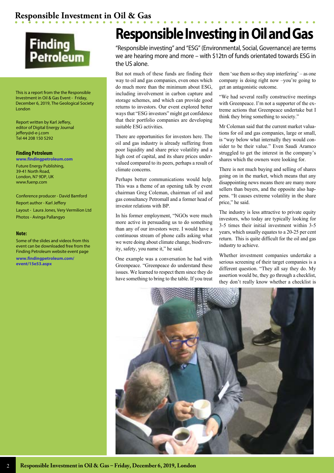

This is a report from the the Responsible Investment in Oil & Gas Event - Friday, December 6, 2019, The Geological Society London

Report written by Karl Jeffery, editor of Digital Energy Journal jeffery@d-e-j.com Tel 44 208 150 5292

### **Finding Petroleum**

**www.findingpetroleum.com** Future Energy Publishing, 39-41 North Road, London, N7 9DP, UK www.fuenp.com

Conference producer - David Bamford Report author - Karl Jeffery Layout - Laura Jones, Very Vermilion Ltd Photos - Avinga Pallangyo

### **Note:**

Some of the slides and videos from this event can be downloaded free from the Finding Petroleum website event page **www.findingpetroleum.com/ event/15e53.aspx**

# **Responsible Investing in Oil and Gas**

"Responsible investing" and "ESG" (Environmental, Social, Governance) are terms we are hearing more and more – with \$12tn of funds orientated towards ESG in the US alone.

But not much of these funds are finding their way to oil and gas companies, even ones which do much more than the minimum about ESG, including involvement in carbon capture and storage schemes, and which can provide good returns to investors. Our event explored better ways that "ESG investors" might get confidence that their portfolio companies are developing suitable ESG activities.

There are opportunities for investors here. The oil and gas industry is already suffering from poor liquidity and share price volatility and a high cost of capital, and its share prices undervalued compared to its peers, perhaps a result of climate concerns.

Perhaps better communications would help. This was a theme of an opening talk by event chairman Greg Coleman, chairman of oil and gas consultancy Petromall and a former head of investor relations with BP.

In his former employment, "NGOs were much more active in persuading us to do something than any of our investors were. I would have a continuous stream of phone calls asking what we were doing about climate change, biodiversity, safety, you name it," he said.

One example was a conversation he had with Greenpeace. "Greenpeace do understand these issues. We learned to respect them since they do have something to bring to the table. If you treat

them 'sue them so they stop interfering' – as one company is doing right now –you're going to get an antagonistic outcome.

"We had several really constructive meetings with Greenpeace. I'm not a supporter of the extreme actions that Greenpeace undertake but I think they bring something to society."

Mr Coleman said that the current market valuations for oil and gas companies, large or small, is "way below what internally they would consider to be their value." Even Saudi Aramco struggled to get the interest in the company's shares which the owners were looking for.

There is not much buying and selling of shares going on in the market, which means that any disappointing news means there are many more sellers than buyers, and the opposite also happens. "It causes extreme volatility in the share price," he said.

The industry is less attractive to private equity investors, who today are typically looking for 3-5 times their initial investment within 3-5 years, which usually equates to a 20-25 per cent return. This is quite difficult for the oil and gas industry to achieve.

Whether investment companies undertake a serious screening of their target companies is a different question. "They all say they do. My assertion would be, they go through a checklist, they don't really know whether a checklist is

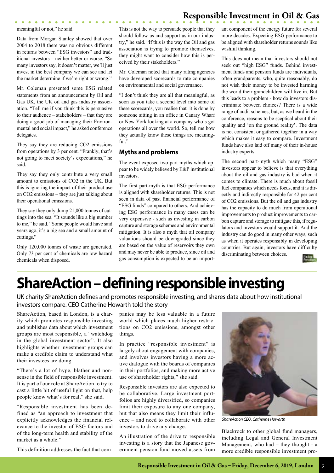meaningful or not," he said.

 $\bullet\quad\bullet\quad\bullet\quad\bullet\quad\bullet\quad\bullet\quad\bullet\quad\bullet$ 

Data from Morgan Stanley showed that over 2004 to 2018 there was no obvious different in returns between "ESG investors" and traditional investors – neither better or worse. "So many investors say, it doesn't matter, we'll just invest in the best company we can see and let the market determine if we're right or wrong."

Mr. Coleman presented some ESG related statements from an announcement by Oil and Gas UK, the UK oil and gas industry association. "Tell me if you think this is persuasive to their audience – stakeholders – that they are doing a good job of managing their Environmental and social impact," he asked conference delegates.

They say they are reducing CO2 emissions from operations by 3 per cent. "Frankly, that's not going to meet society's expectations," he said.

They say they only contribute a very small amount to emissions of CO2 in the UK. But this is ignoring the impact of their product use on CO2 emissions – they are just talking about their operational emissions.

They say they only dump 21,000 tonnes of cuttings into the sea. "It sounds like a big number to me," he said. "Some people would have said years ago, it's a big sea and a small amount of cuttings."

Only 120,000 tonnes of waste are generated. Only 73 per cent of chemicals are low hazard chemicals when disposed.

This is not the way to persuade people that they should follow us and support us in our industry," he said. "If this is the way the Oil and gas association is trying to promote themselves, they might want to consider how this is perceived by their stakeholders."

Mr. Coleman noted that many rating agencies have developed scorecards to rate companies on environmental and social governance.

"I don't think they are all that meaningful, as soon as you take a second level into some of these scorecards, you realise that it is done by someone sitting in an office in Canary Wharf or New York looking at a company who's got operations all over the world. So, tell me how they actually know these things are meaningful."

# **Myths and problems**

The event exposed two part-myths which appear to be widely believed by E&P institutional investors.

The first part-myth is that ESG performance is aligned with shareholder returns. This is not seen in data of past financial performance of "ESG funds" compared to others. And achieving ESG performance in many cases can be very expensive - such as investing in carbon capture and storage schemes and environmental mitigation. It is also a myth that oil company valuations should be downgraded since they are based on the value of reservoirs they own and may never be able to produce, since oil and gas consumption is expected to be an important component of the energy future for several more decades. Expecting ESG performance to be aligned with shareholder returns sounds like wishful thinking.

This does not mean that investors should not seek out "high ESG" funds. Behind investment funds and pension funds are individuals, often grandparents, who, quite reasonably, do not wish their money to be invested harming the world their grandchildren will live in. But this leads to a problem - how do investors discriminate between choices? There is a wide range of audit schemes, but, as we heard in the conference, reasons to be sceptical about their quality and 'on the ground reality'. The data is not consistent or gathered together in a way which makes it easy to compare. Investment funds have also laid off many of their in-house industry experts.

The second part-myth which many "ESG" investors appear to believe is that everything about the oil and gas industry is bad when it comes to climate. There is much about fossil fuel companies which needs focus, and it is directly and indirectly responsible for 42 per cent of CO2 emissions. But the oil and gas industry has the capacity to do much from operational improvements to product improvements to carbon capture and storage to mitigate this, if regulators and investors would support it. And the industry can do good in many other ways, such as when it operates responsibly in developing countries. But again, investors have difficulty discriminating between choices.



# **ShareAction – defining responsible investing**

UK charity ShareAction defines and promotes responsible investing, and shares data about how institutional investors compare. CEO Catherine Howarth told the story

ShareAction, based in London, is a charity which promotes responsible investing and publishes data about which investment groups are most responsible, a "watchdog in the global investment sector". It also highlights whether investment groups can make a credible claim to understand what their investees are doing.

"There's a lot of hype, blather and nonsense in the field of responsible investment. It is part of our role at ShareAction to try to cast a little bit of useful light on that, help people know what's for real," she said.

"Responsible investment has been defined as "an approach to investment that explicitly acknowledges the financial relevance to the investor of ESG factors and of the long-term health and stability of the market as a whole."

This definition addresses the fact that com-

panies may be less valuable in a future world which places much higher restrictions on CO2 emissions, amongst other things.

In practice "responsible investment" is largely about engagement with companies, and involves investors having a more active dialogue with the boards of companies in their portfolios, and making more active use of shareholder rights," she said.

Responsible investors are also expected to be collaborative. Large investment portfolios are highly diversified, so companies limit their exposure to any one company, but that also means they limit their influence – and need to collaborate with other investors to drive any change.

An illustration of the drive to responsible investing is a story that the Japanese government pension fund moved assets from



*ShareAction CEO, Catherine Howarth*

Blackrock to other global fund managers, including Legal and General Investment Management, who had – they thought - a more credible responsible investment pro-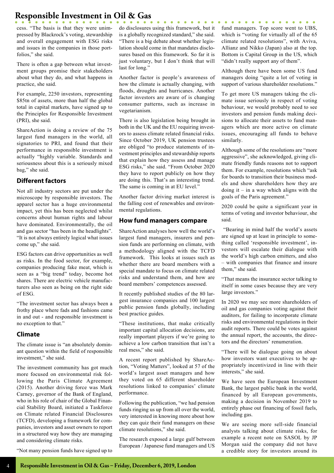cess. "The basis is that they were unimpressed by Blackrock's voting, stewardship and overall engagement with ESG risks and issues in the companies in those portfolios," she said.

There is often a gap between what investment groups promise their stakeholders about what they do, and what happens in practice, she said.

For example, 2250 investors, representing \$85tn of assets, more than half the global total in capital markets, have signed up to the Principles for Responsible Investment (PRI), she said.

ShareAction is doing a review of the 75 largest fund managers in the world, all signatories to PRI, and found that their performance in responsible investment is actually "highly variable. Standards and seriousness about this is a seriously mixed bag," she said.

### **Different factors**

Not all industry sectors are put under the microscope by responsible investors. The apparel sector has a huge environmental impact, yet this has been neglected whilst concerns about human rights and labour have dominated. Environmentally, the oil and gas sector "has been in the headlights". "It is not always entirely logical what issues come up," she said.

ESG factors can drive opportunities as well as risks. In the food sector, for example, companies producing fake meat, which is seen as a "big trend" today, become hot shares. There are electric vehicle manufacturers also seen as being on the right side of ESG.

"The investment sector has always been a frothy place where fads and fashions came in and out - and responsible investment is no exception to that."

# **Climate**

The climate issue is "an absolutely dominant question within the field of responsible investment," she said.

The investment community has got much more focused on environmental risk following the Paris Climate Agreement (2015). Another driving force was Mark Carney, governor of the Bank of England, who in his role of chair of the Global Financial Stability Board, initiated a Taskforce on Climate related Financial Disclosures (TCFD), developing a framework for companies, investors and asset owners to report in a structured way how they are managing and considering climate risks.

"Not many pension funds have signed up to

do disclosures using this framework, but it is a globally recognized standard," she said. "There is a big debate about whether legislation should come in that mandates disclosures based on this framework. So far it is just voluntary, but I don't think that will last for long."

. . . . . . . . .

Another factor is people's awareness of how the climate is actually changing, with floods, droughts and hurricanes. Another factor investors are aware of is changing consumer patterns, such as increase in vegetarianism.

There is also legislation being brought in both in the UK and the EU requiring investors to assess climate related financial risks. Since October 2019, UK pension trustees are obliged "to produce statements of investment principles and stewardship reports that explain how they assess and manage ESG risks," she said. "From October 2020 they have to report publicly on how they are doing this. That's an interesting trend. The same is coming in at EU level."

Another factor driving market interest is the falling cost of renewables and environmental regulations.

### **How fund managers compare**

ShareAction analyses how well the world's largest fund managers, insurers and pension funds are performing on climate, with a methodology aligned with the TCFD framework. This looks at issues such as whether there are board members with a special mandate to focus on climate related risks and understand them, and how are board members' competences assessed.

It recently published studies of the 80 largest insurance companies and 100 largest public pension funds globally, including best practice guides.

"These institutions, that make critically important capital allocation decisions, are really important players if we're going to achieve a low carbon transition that isn't a real mess," she said.

A recent report published by ShareAction, "Voting Matters", looked at 57 of the world's largest asset managers and how they voted on 65 different shareholder resolutions linked to companies' climate performance.

Following the publication, "we had pension funds ringing us up from all over the world, very interested in knowing more about how they can quiz their fund managers on these climate resolutions," she said.

The research exposed a large gulf between European / Japanese fund managers and US

. . . . . . . . . . . . . . . fund managers. Top score went to UBS, which is "voting for virtually all of the 65 climate related resolutions", with Aviva, Allianz and Nikko (Japan) also at the top. Bottom is Capital Group in the US, which "didn't really support any of them".

Although there have been some US fund managers doing "quite a lot of voting in support of various shareholder resolutions."

To get more US managers taking the climate issue seriously in respect of voting behaviour, we would probably need to see investors and pension funds making decisions to allocate their assets to fund managers which are more active on climate issues, encouraging all funds to behave similarly.

Although some of the resolutions are "more aggressive", she acknowledged, giving climate friendly funds reasons not to support them. For example, resolutions which "ask for boards to transition their business models and show shareholders how they are doing it – in a way which aligns with the goals of the Paris agreement."

2020 could be quite a significant year in terms of voting and investor behaviour, she said.

 "Bearing in mind half the world's assets are signed up at least in principle to something called 'responsible investment', investors will escalate their dialogue with the world's high carbon emitters, and also – with companies that finance and insure them," she said.

"That means the insurance sector talking to itself in some cases because they are very large investors."

In 2020 we may see more shareholders of oil and gas companies voting against their auditors, for failing to incorporate climate risks and environmental regulations in their audit reports. There could be votes against the annual report, the accounts, the directors and the directors' renumeration.

"There will be dialogue going on about how investors want executives to be appropriately incentivized in line with their interests," she said.

We have seen the European Investment Bank, the largest public bank in the world, financed by all European governments, making a decision in November 2019 to entirely phase out financing of fossil fuels, including gas.

We are seeing more sell-side financial analysts talking about climate risks, for example a recent note on SASOL by JP Morgan said the company did not have a credible story for investors around its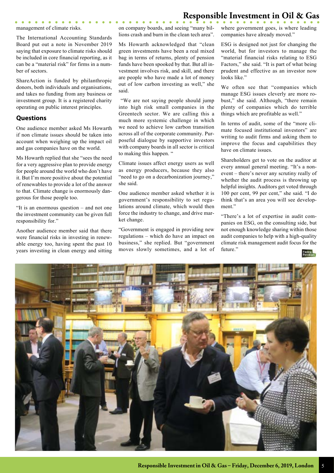management of climate risks.

. . . . . . . . . .

The International Accounting Standards Board put out a note in November 2019 saying that exposure to climate risks should be included in core financial reporting, as it can be a "material risk" for firms in a number of sectors.

ShareAction is funded by philanthropic donors, both individuals and organisations, and takes no funding from any business or investment group. It is a registered charity operating on public interest principles.

### **Questions**

One audience member asked Ms Howarth if non climate issues should be taken into account when weighing up the impact oil and gas companies have on the world.

Ms Howarth replied that she "sees the need for a very aggressive plan to provide energy for people around the world who don't have it. But I'm more positive about the potential of renewables to provide a lot of the answer to that. Climate change is enormously dangerous for those people too.

"It is an enormous question – and not one the investment community can be given full responsibility for."

Another audience member said that there were financial risks in investing in renewable energy too, having spent the past 10 years investing in clean energy and sitting on company boards, and seeing "many billions crash and burn in the clean tech area".

Ms Howarth acknowledged that "clean green investments have been a real mixed bag in terms of returns, plenty of pension funds have been spooked by that. But all investment involves risk, and skill, and there are people who have made a lot of money out of low carbon investing as well," she said.

 "We are not saying people should jump into high risk small companies in the Greentech sector. We are calling this a much more systemic challenge in which we need to achieve low carbon transition across all of the corporate community. Purposeful dialogue by supportive investors with company boards in all sector is critical to making this happen. "

Climate issues affect energy users as well as energy producers, because they also "need to go on a decarbonization journey," she said.

One audience member asked whether it is government's responsibility to set regulations around climate, which would then force the industry to change, and drive market change.

"Government is engaged in providing new regulations – which do have an impact on business," she replied. But "government moves slowly sometimes, and a lot of where government goes, is where leading companies have already moved."

ESG is designed not just for changing the world, but for investors to manage the "material financial risks relating to ESG Factors," she said. "It is part of what being prudent and effective as an investor now looks like."

We often see that "companies which manage ESG issues cleverly are more robust," she said. Although, "there remain plenty of companies which do terrible things which are profitable as well."

In terms of audit, some of the "more climate focused institutional investors" are writing to audit firms and asking them to improve the focus and capabilities they have on climate issues.

Shareholders get to vote on the auditor at every annual general meeting. "It's a nonevent – there's never any scrutiny really of whether the audit process is throwing up helpful insights. Auditors get voted through 100 per cent, 99 per cent," she said. "I do think that's an area you will see development."

"There's a lot of expertise in audit companies on ESG, on the consulting side, but not enough knowledge sharing within those audit companies to help with a high-quality climate risk management audit focus for the future."



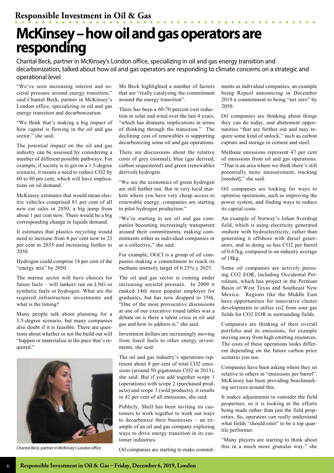# **McKinsey – how oil and gas operators are responding**

Chantal Beck, partner in McKinsey's London office, specializing in oil and gas energy transition and decarbonization, talked about how oil and gas operators are responding to climate concerns on a strategic and operational level.

"We've seen increasing interest and societal pressure around energy transition," said Chantal Beck, partner in McKinsey's London office, specializing in oil and gas energy transition and decarbonization.

"We think that's making a big impact of how capital is flowing in the oil and gas sector," she said.

The potential impact on the oil and gas industry can be assessed by considering a number of different possible pathways. For example, if society is to get on a 1.5-degree scenario, it means a need to reduce CO2 by 60 to 80 per cent, which will have implications on oil demand.

McKinsey estimates that would mean electric vehicles comprised 81 per cent of all new car sales in 2050, a big jump from about 1 per cent now. There would be a big corresponding change in liquids demand.

It estimates that plastics recycling would need to increase from 4 per cent now to 23 per cent in 2035 and increasing further to 2050.

Hydrogen could comprise 18 per cent of the "energy mix" by 2050.

The marine sector will have choices for future fuels – will tankers run on LNG or synthetic fuels or hydrogen. What are the required infrastructure investments and what is the timing?

Many people talk about planning for a 1.5-degree scenario, but many companies also doubt if it is feasible. There are questions about whether or not the build out will "happen or materialize at the pace that's required."



*Chantal Beck, partner in McKinsey's London office*

Ms Beck highlighted a number of factors that are "really catalysing the commitment around the energy transition".

There has been a 60-70 percent cost reduction in solar and wind over the last 4 years, "which has dramatic implications in terms of thinking through the transition." The declining cost of renewables is supporting decarbonizing some oil and gas operations.

There are discussions about the relative costs of grey (normal), blue (gas derived, carbon sequestered) and green (renewables derived) hydrogen.

"We see the economics of green hydrogen are still further out. But in very local markets where you have very cheap access to renewable energy, companies are starting to pilot hydrogen production."

"We're starting to see oil and gas companies becoming increasingly transparent around their commitments, making commitments either as individual companies or as a collective," she said.

For example, OGCI is a group of oil companies making a commitment to reach its methane intensity target of 0.25% y 2025.

The oil and gas sector is coming under increasing societal pressure. In 2009 it ranked 14th more popular employer for graduates, but has now dropped to 35th. "One of the most provocative discussions at one of our executive round tables was a debate on is there a talent crisis in oil and gas and how to address it," she said.

Investment dollars are increasingly moving from fossil fuels to other energy investments, she said.

The oil and gas industry's operations represent about 8 per cent of total CO2 emissions (around 50 gigatonnes CO2 in 2015), she said. But if you add together scope 1 (operations) with scope 2 (purchased products) and scope 3 (sold products), it results in 42 per cent of all emissions, she said.

Publicly, Shell has been inviting its customers to work together to work out ways to decarbonize their businesses – an example of an oil and gas company exploring ways to drive energy transition in its customer industries.

Oil companies are starting to make commit-

ments as individual companies, an example being Repsol announcing in December 2019 a commitment to being "net zero" by 2050.

Oil companies are thinking about things they can do today, and abatement opportunities "that are further out and may require some kind of unlock," such as carbon capture and storage in cement and steel.

Methane emissions represent 47 per cent of emissions from oil and gas operations. "That is an area where we think there's still potentially more measurement, tracking [needed]," she said.

Oil companies are looking for ways to optimise operations, such as improving the power system, and finding ways to reduce its capital costs.

An example of Norway's Johan Sverdrup field, which is using electricity generated onshore with hydroelectricity, rather than generating it offshore with diesel generators, and in doing so has CO2 per barrel of 0.67kg, compared to an industry average of 18kg.

Some oil companies are actively pursuing CO2 EOR, including Occidental Petroleum, which has project in the Permian Basin of West Texas and Southeast New Mexico. Regions like the Middle East have opportunities for innovative cluster developments to utilise co2 from sour gas fields for CO2 EOR in surrounding fields.

Companies are thinking of their overall portfolio and its emissions, for example moving away from high emitting resources. The costs of these operations looks different depending on the future carbon price scenario you use.

Companies have been asking where they sit relative to others in "emissions per barrel". McKinsey has been providing benchmarking services around this.

It makes adjustments to consider the field properties, so it is looking at the efforts being made rather than just the field properties. So, operators can really understand what fields "should emit" to be a top quartile performer.

"Many players are starting to think about this in a much more granular way," she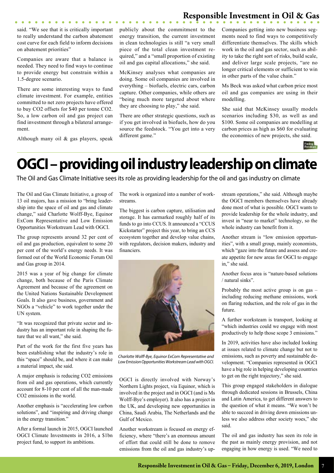said. "We see that it is critically important to really understand the carbon abatement cost curve for each field to inform decisions on abatement priorities"

Companies are aware that a balance is needed. They need to find ways to continue to provide energy but constrain within a 1.5-degree scenario.

There are some interesting ways to fund climate investment. For example, entities committed to net zero projects have offered to buy CO2 offsets for \$40 per tonne CO2. So, a low carbon oil and gas project can find investment through a bilateral arrangement.

Although many oil & gas players, speak

publicly about the commitment to the energy transition, the current investment in clean technologies is still "a very small piece of the total clean investment required," and a "small proportion of existing oil and gas capital allocations," she said.

McKinsey analyses what companies are doing. Some oil companies are involved in everything – biofuels, electric cars, carbon capture. Other companies, while others are "being much more targeted about where they are choosing to play," she said.

There are other strategic questions, such as if you get involved in biofuels, how do you source the feedstock. "You get into a very different game."

Companies getting into new business segments need to find ways to competitively differentiate themselves. The skills which work in the oil and gas sector, such as ability to take the right sort of risks, build scale, and deliver large scale projects, "are no longer critical elements or sufficient to win in other parts of the value chain."

Ms Beck was asked what carbon price most oil and gas companies are using in their modelling.

She said that McKinsey usually models scenarios including \$30, as well as and \$100. Some oil companies are modelling at carbon prices as high as \$60 for evaluating the economics of new projects, she said.



# **OGCI – providing oil industry leadership on climate**

The Oil and Gas Climate Initiative sees its role as providing leadership for the oil and gas industry on climate

The Oil and Gas Climate Initiative, a group of 13 oil majors, has a mission to "bring leadership into the space of oil and gas and climate change," said Charlotte Wolff-Bye, Equinor ExCom Representative and Low Emission Opportunities Workstream Lead with OGCI.

The group represents around 32 per cent of oil and gas production, equivalent to some 20 per cent of the world's energy needs. It was formed out of the World Economic Forum Oil and Gas group in 2014.

2015 was a year of big change for climate change, both because of the Paris Climate Agreement and because of the agreement on the United Nations Sustainable Development Goals. It also gave business, government and NGOs a "vehicle" to work together under the UN system.

"It was recognized that private sector and industry has an important role in shaping the future that we all want." she said.

Part of the work for the first five years has been establishing what the industry's role in this "space" should be, and where it can make a material impact, she said.

A major emphasis is reducing CO2 emissions from oil and gas operations, which currently account for 8-10 per cent of all the man-made CO2 emissions in the world.

Another emphasis is "accelerating low carbon solutions", and "inspiring and driving change in the energy transition."

After a formal launch in 2015, OGCI launched OGCI Climate Investments in 2016, a \$1bn project fund, to support its ambitions.

The work is organized into a number of workstreams.

The biggest is carbon capture, utilisation and storage. It has earmarked roughly half of its funds to go into CCUS. It announced a "CCUS Kickstarter" project this year, to bring an CCS ecosystem together and develop value chains, with regulators, decision makers, industry and financiers.



*Charlotte Wolff-Bye, Equinor ExCom Representative and Low Emission Opportunities Workstream Lead with OGCI.*

OGCI is directly involved with Norway's Northern Lights project, via Equinor, which is involved in the project and in OGCI (and is Ms Wolff-Bye's employer). It also has a project in the UK, and developing new opportunities in China, Saudi Arabia, The Netherlands and the Gulf of Mexico.

Another workstream is focused on energy efficiency, where "there's an enormous amount of effort that could still be done to remove emissions from the oil and gas industry's upstream operations," she said. Although maybe the OGCI members themselves have already done most of what is possible. OGCI wants to provide leadership for the whole industry, and invest in "near to market" technology, so the whole industry can benefit from it.

Another stream is "low emission opportunities", with a small group, mainly economists, which "gaze into the future and assess and create appetite for new areas for OGCI to engage in," she said.

Another focus area is "nature-based solutions / natural sinks".

Probably the most active group is on gas – including reducing methane emissions, work on flaring reduction, and the role of gas in the future.

A further worksteam is transport, looking at "which industries could we engage with most productively to help those scope 3 emissions."

In 2019, activities have also included looking at issues related to climate change but not to emissions, such as poverty and sustainable development. "Companies represented in OGCI have a big role in helping developing countries to get on the right trajectory," she said.

This group engaged stakeholders in dialogue through dedicated sessions in Brussels, China and Latin America, to get different answers to the question of what it means. "We won't be able to succeed in driving down emissions unless we also address other society woes," she said.

The oil and gas industry has seen its role in the past as mainly energy provision, and not engaging in how energy is used. "We need to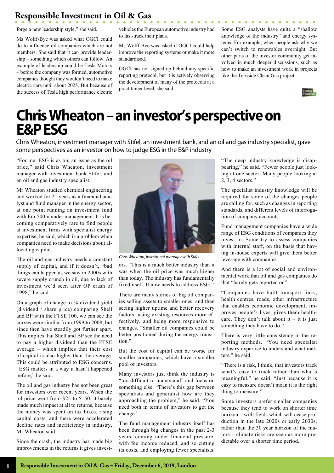forge a new leadership style," she said.

Ms Wolff-Bye was asked what OGCI could do to influence oil companies which are not members. She said that it can provide leadership – something which others can follow. An example of leadership could be Tesla Motors – before the company was formed, automotive companies thought they wouldn't need to make electric cars until about 2025. But because of the success of Tesla high performance electric

vehicles the European automotive industry had to fast-track their plans.

 $\begin{array}{cccccccccccccc} \bullet & \bullet & \bullet & \bullet & \bullet & \bullet & \bullet \end{array}$ 

Ms Wolff-Bye was asked if OGCI could help improve the reporting systems or make it more standardised.

OGCI has not signed up behind any specific reporting protocol, but it is actively observing the development of many of the protocols at a practitioner level, she said.

Some ESG analysts have quite a "shallow knowledge of the industry" and energy systems. For example, when people ask why we can't switch to renewables overnight. But other parts of the investor community get involved in much deeper discussions, such as how to make an investment work in projects like the Teesside Clean Gas project.



# **Chris Wheaton – an investor's perspective on E&P ESG**

Chris Wheaton, investment manager with Stifel, an investment bank, and an oil and gas industry specialist, gave some perspectives as an investor on how to judge ESG in the E&P industry

"For me, ESG is as big an issue as the oil price," said Chris Wheaton, investment manager with investment bank Stifel, and an oil and gas industry specialist.

Mr Wheaton studied chemical engineering and worked for 21 years as a financial analyst and fund manager in the energy sector, at one point running an investment fund with Eur 500m under management. It is becoming comparatively rare to find people at investment firms with specialist energy expertise, he said, which is a problem when companies need to make decisions about allocating capital.

The oil and gas industry needs a constant supply of capital, and if it doesn't, "bad things can happen as we saw in 2000s with severe supply crunch in oil, due to lack of investment we'd seen after OP crash of 1998," he said.

On a graph of change to % dividend yield (dividend / share price) comparing Shell and BP with the FTSE 100, we can see the curves were similar from 1999 to 2008, but since then have steadily got further apart. This implies that Shell and BP see the need to pay a higher dividend than the FTSE average – which implies that their cost of capital is also higher than the average. This could be attributed to ESG concerns. "ESG matters in a way it hasn't happened before," he said.

The oil and gas industry has not been great for investors over recent years. When the oil price went from \$25 to \$150, it barely made much impact at all to returns, because the money was spent on tax hikes, rising capital costs, and there were accelerated decline rates and inefficiency in industry, Mr Wheaton said.

Since the crash, the industry has made big improvements in the returns it gives invest-



*Chris Wheaton, investment manager with Stifel*

ors. "This is a much better industry than it was when the oil price was much higher than today. The industry has fundamentally fixed itself. It now needs to address ESG."

There are many stories of big oil companies selling assets to smaller ones, and then seeing higher uptime and better recovery factors, using existing resources more effectively, and being more responsive to changes. "Smaller oil companies could be better positioned during the energy transition."

But the cost of capital can be worse for smaller companies, which have a smaller pool of investors.

Many investors just think the industry is "too difficult to understand" and focus on something else. "There's this gap between specialists and generalist how are they approaching the problem," he said. "You need both in terms of investors to get the change."

The fund management industry itself has been through big changes in the past 2-3 years, coming under financial pressure, with fee income reduced, and so cutting its costs, and employing fewer specialists.

"The deep industry knowledge is disappearing," he said. "Fewer people just looking at one sector. Many people looking at 2, 3, 4 sectors."

The specialist industry knowledge will be required for some of the changes people are calling for, such as changes in reporting standards, and different levels of interrogation of company accounts.

Fund management companies have a wide range of ESG conditions of companies they invest in. Some try to assess companies with internal staff, on the basis that having in-house experts will give them better leverage with companies.

And there is a lot of social and environmental work that oil and gas companies do that "barely gets reported on".

"Companies have built transport links, health centres, roads, other infrastructure that enables economic development, improves people's lives, gives them healthcare. They don't talk about it – it is just something they have to do."

There is very little consistency in the reporting methods. "You need specialist industry expertise to understand what matters," he said.

"There is a risk, I think, that investors track what's easy to track rather than what's meaningful," he said. "Just because it is easy to measure doesn't mean it is the right thing to measure."

Some investors prefer smaller companies because they tend to work on shorter time horizon – with fields which will cease production in the late 2020s or early 2030s, rather than the 30 year horizon of the majors – climate risks are seen as more predictable over a shorter time period.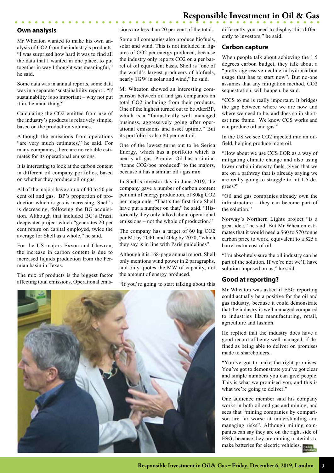### **Own analysis**

Mr Wheaton wanted to make his own analysis of CO2 from the industry's products. "I was surprised how hard it was to find all the data that I wanted in one place, to put together in way I thought was meaningful," he said.

Some data was in annual reports, some data was in a separate 'sustainability report'. "If sustainability is so important – why not put it in the main thing?"

Calculating the CO2 emitted from use of the industry's products is relatively simple, based on the production volumes.

Although the emissions from operations "are very much estimates," he said. For many companies, there are no reliable estimates for its operational emissions.

It is interesting to look at the carbon content in different oil company portfolios, based on whether they produce oil or gas.

All of the majors have a mix of 40 to 50 per cent oil and gas. BP's proportion of production which is gas is increasing. Shell's is decreasing, following the BG acquisition. Although that included BG's Brazil deepwater project which "generates 20 per cent return on capital employed, twice the average for Shell as a whole," he said.

For the US majors Exxon and Chevron, the increase in carbon content is due to increased liquids production from the Permian basin in Texas.

The mix of products is the biggest factor affecting total emissions. Operational emissions are less than 20 per cent of the total.

Some oil companies also produce biofuels, solar and wind. This is not included in figures of CO2 per energy produced, because the industry only reports CO2 on a per barrel of oil equivalent basis. Shell is "one of the world's largest producers of biofuels, nearly 1GW in solar and wind," he said.

Mr Wheaton showed an interesting comparison between oil and gas companies on total CO2 including from their products. One of the highest turned out to be AkerBP, which is a "fantastically well managed business, aggressively going after operational emissions and asset uptime." But its portfolio is also 80 per cent oil.

One of the lowest turns out to be Serica Energy, which has a portfolio which is nearly all gas. Premier Oil has a similar "tonne CO2/boe produced" to the majors, because it has a similar oil / gas mix.

In Shell's investor day in June 2019, the company gave a number of carbon content per unit of energy production, of 80kg CO2 per megajoule. "That's the first time Shell have put a number on that," he said. "Historically they only talked about operational emissions – not the whole of production."

The company has a target of 60 kg CO2 per MJ by 2040, and 40kg by 2050, "which they say is in line with Paris guidelines".

Although it is 168-page annual report, Shell only mentions wind power in 2 paragraphs, and only quotes the MW of capacity, not the amount of energy produced.

"If you're going to start talking about this



differently you need to display this differently to investors," he said.

# **Carbon capture**

When people talk about achieving the 1.5 degrees carbon budget, they talk about a "pretty aggressive decline in hydrocarbon usage that has to start now". But no-one assumes that any mitigation method, CO2 sequestration, will happen, he said.

"CCS to me is really important. It bridges the gap between where we are now and where we need to be, and does so in shortest time frame. We know CCS works and can produce oil and gas."

In the US we see CO2 injected into an oilfield, helping produce more oil.

"How about we use CCS EOR as a way of mitigating climate change and also using lower carbon intensity fuels, given that we are on a pathway that is already saying we are really going to struggle to hit 1.5 degrees?"

"Oil and gas companies already own the infrastructure – they can become part of the solution."

Norway's Northern Lights project "is a great idea," he said. But Mr Wheaton estimates that it would need a \$60 to \$70 tonne carbon price to work, equivalent to a \$25 a barrel extra cost of oil.

"I'm absolutely sure the oil industry can be part of the solution. If we're not we'll have solution imposed on us," he said.

# **Good at reporting?**

Mr Wheaton was asked if ESG reporting could actually be a positive for the oil and gas industry, because it could demonstrate that the industry is well managed compared to industries like manufacturing, retail, agriculture and fashion.

He replied that the industry does have a good record of being well managed, if defined as being able to deliver on promises made to shareholders.

"You've got to make the right promises. You've got to demonstrate you've got clear and simple numbers you can give people. This is what we promised you, and this is what we're going to deliver."

One audience member said his company works in both oil and gas and mining, and sees that "mining companies by comparison are far worse at understanding and managing risks". Although mining companies can say they are on the right side of ESG, because they are mining materials to make batteries for electric vehicles.

**Responsible Investment in Oil & Gas – Friday, December 6, 2019, London** 9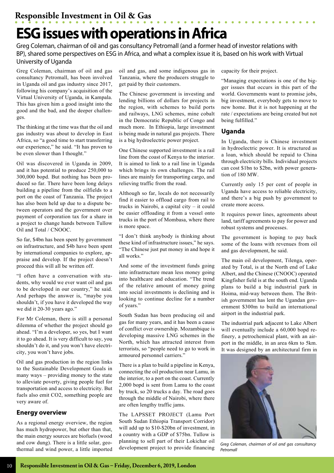# **ESG issues with operations in Africa**

Greg Coleman, chairman of oil and gas consultancy Petromall (and a former head of investor relations with BP), shared some perspectives on ESG in Africa, and what a complex issue it is, based on his work with Virtual University of Uganda

Greg Coleman, chairman of oil and gas consultancy Petromall, has been involved in Uganda oil and gas industry since 2017, following his company's acquisition of the Virtual University of Uganda, in Kampala. This has given him a good insight into the good and the bad, and the deeper challenges.

The thinking at the time was that the oil and gas industry was about to develop in East Africa, so "a good time to start transferring our experience," he said. "It has proven to be even slower than I thought."

Oil was discovered in Uganda in 2009, and it has potential to produce 250,000 to 300,000 bopd. But nothing has been produced so far. There have been long delays building a pipeline from the oilfields to a port on the coast of Tanzania. The project has also been held up due to a dispute between operators and the government over payment of corporation tax for a share in a project to change hands between Tullow Oil and Total / CNOOC.

So far, \$4bn has been spent by government on infrastructure, and \$4b have been spent by international companies to explore, appraise and develop. If the project doesn't proceed this will all be written off.

"I often have a conversation with students, why would we ever want oil and gas to be developed in our country," he said. And perhaps the answer is, "maybe you shouldn't, if you have it developed the way we did it 20-30 years ago."

For Mr Coleman, there is still a personal dilemma of whether the project should go ahead. "I'm a developer, so yes, but I want it to go ahead. It is very difficult to say, you shouldn't do it, and you won't have electricity, you won't have jobs.

Oil and gas production in the region links to the Sustainable Development Goals in many ways – providing money to the state to alleviate poverty, giving people fuel for transportation and access to electricity. But fuels also emit CO2, something people are very aware of.

### **Energy overview**

As a regional energy overview, the region has much hydropower, but other than that, the main energy sources are biofuels (wood and cow dung). There is a little solar, geothermal and wind power, a little imported

oil and gas, and some indigenous gas in Tanzania, where the producers struggle to get paid by their customers.

The Chinese government is investing and lending billions of dollars for projects in the region, with schemes to build ports and railways, LNG schemes, mine cobalt in the Democratic Republic of Congo and much more. In Ethiopia, large investment is being made in natural gas projects. There is a big hydroelectric power project.

One Chinese supported investment is a rail line from the coast of Kenya to the interior. It is aimed to link to a rail line in Uganda which brings its own challenges. The rail lines are mainly for transporting cargo, and relieving traffic from the road.

Although so far, locals do not necessarily find it easier to offload cargo from rail to trucks in Nairobi, a capital city – it could be easier offloading it from a vessel onto trucks in the port of Mombasa, where there is more space.

"I don't think anybody is thinking about these kind of infrastructure issues," he says. "The Chinese just put money in and hope it all works."

And some of the investment funds going into infrastructure mean less money going into healthcare and education. "The trend of the relative amount of money going into social investments is declining and is looking to continue decline for a number of years."

South Sudan has been producing oil and gas for many years, and it has been a cause of conflict over ownership. Mozambique is developing massive LNG schemes in the North, which has attracted interest from terrorists, so "people need to go to work in armoured personnel carriers."

There is a plan to build a pipeline in Kenya, connecting the oil production near Lamu, in the interior, to a port on the coast. Currently 2,000 bopd is sent from Lamu to the coast by truck, so 20 trucks a day. The road goes through the middle of Nairobi, where there are often lengthy traffic jams.

The LAPSSET PROJECT (Lamu Port South Sudan Ethiopia Transport Corridor) will add up to \$10-\$20bn of investment, in a country with a GDP of \$75bn. Tullow is planning to sell part of their Lokichar oil development project to provide financing

capacity for their project.

"Managing expectations is one of the bigger issues that occurs in this part of the world. Governments want to promise jobs, big investment, everybody gets to move to new home. But it is not happening at the rate / expectations are being created but not being fulfilled."

### **Uganda**

In Uganda, there is Chinese investment in hydroelectric power. It is structured as a loan, which should be repaid to China through electricity bills. Individual projects can cost \$1bn to \$2bn, with power generation of 180 MW.

Currently only 15 per cent of people in Uganda have access to reliable electricity, and there's a big push by government to create more access.

It requires power lines, agreements about land, tariff agreements to pay for power and robust systems and processes.

The government is hoping to pay back some of the loans with revenues from oil and gas development, he said.

The main oil development, Tilenga, operated by Total, is at the North end of Lake Albert, and the Chinese (CNOOC) operated Kingfisher field is at the south end. Uganda plans to build a big industrial park in Hoima, mid-way between them. The British government has lent the Ugandan government \$300m to build an international airport in the industrial park.

The industrial park adjacent to Lake Albert will eventually include a 60,000 bopd refinery, a petrochemical plant, with an airport in the middle, in an area 6km to 5km. It was designed by an architectural firm in



*Greg Coleman, chairman of oil and gas consultancy Petromall*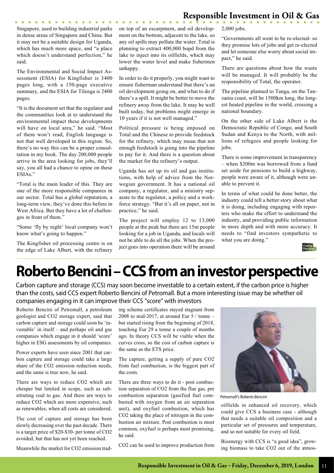Singapore, used to building industrial parks in dense areas of Singapore and China. But it may not be a suitable design for Uganda, which has much more space, and "a place which doesn't understand perfection," he said.

. . . . . . . . . . . . . . .

The Environmental and Social Impact Assessment (ESIA) for Kingfisher is 3400 pages long, with a 150-page executive summary, and the ESIA for Tilenga is 2400 pages.

"It is the document set that the regulator and the communities look at to understand the environmental impact these developments will have on local area," he said. "Most of them won't read, English language is not that well developed in this region. So, there's no way this can be a proper consultation in my book. The day 200,000 people arrive in the area looking for jobs, they'll say, you all had a chance to opine on these ESIAs."

"Total is the main leader of this. They are one of the more responsible companies in our sector. Total has a global reputation, a long-term view, they've done this before in West Africa. But they have a lot of challenges in front of them."

"Some 'fly by night' local company won't know what's going to happen."

The Kingfisher oil processing centre is on the edge of Lake Albert, with the refinery on top of an escarpment, and oil development on the bottom, adjacent to the lake, so any oil spills may pollute the water. Total is planning to extract 400,000 bopd from the lake to inject into its oilfields, which may lower the water level and make fishermen unhappy.

In order to do it properly, you might want to ensure fisherman understand that there's an oil development going on, and what to do if there's a spill. It might be better to move the refinery away from the lake. It may be well built today, but problems might emerge in 10 years if it is not well managed."

Political pressure is being imposed on Total and the Chinese to provide feedstock for the refinery, which may mean that not enough feedstock is going into the pipeline to pay for it. And there is a question about the market for the refinery's output.

Uganda has set up its oil and gas institutions, with help of advice from the Norwegian government. It has a national oil company, a regulator, and a ministry separate to the regulator, a policy and a workforce strategy. "But it's all on paper, not in practice," he said.

The project will employ 12 to 13,000 people at the peak but there are 15m people looking for a job in Uganda, and locals will not be able to do all the jobs. When the project goes into operation there will be around 2,000 jobs.

"Governments all went to be re-elected- so they promise lots of jobs and get re-elected and let someone else worry about social impact," he said.

There are questions about how the waste will be managed. It will probably be the responsibility of Total, the operator.

The pipeline planned to Tanga, on the Tanzania coast, will be 1500km long, the longest heated pipeline in the world, crossing a national boundary.

On the other side of Lake Albert is the Democratic Republic of Congo, and South Sudan and Kenya to the North, with millions of refugees and people looking for jobs.

There is some improvement in transparency – when \$200m was borrowed from a fund set aside for pensions to build a highway, people were aware of it, although were unable to prevent it.

In terms of what could be done better, the industry could tell a better story about what it is doing, including engaging with reporters who make the effort to understand the industry, and providing public information in more depth and with more accuracy. It needs to "find investors sympathetic to what you are doing."



# **Roberto Bencini – CCS from an investor perspective**

Carbon capture and storage (CCS) may soon become investable to a certain extent, if the carbon price is higher than the costs, said CCS expert Roberto Bencini of Petromall. But a more interesting issue may be whether oil companies engaging in it can improve their CCS "score" with investors

Roberto Bencini of Petromall, a petroleum geologist and CO2 storage expert, said that carbon capture and storage could soon be 'investable' in itself – and perhaps oil and gas companies which engage in it should 'score' higher in ESG assessments by oil companies.

Power experts have seen since 2001 that carbon capture and storage could take a large share of the CO2 emission reduction needs, and the same is true now, he said.

There are ways to reduce CO2 which are cheaper but limited in scope, such as substituting coal to gas. And there are ways to reduce CO2 which are more expensive, such as renewables, when all costs are considered.

The cost of capture and storage has been slowly decreasing over the past decade. There is a target price of \$20-\$30- per tonne of CO2 avoided, but that has not yet been reached.

Meanwhile the market for CO2 emission trad-

ing scheme certificates stayed stagnant from 2008 to mid-2017, at around Eur  $5/$  tonne – but started rising from the beginning of 2018, touching Eur 29 a tonne a couple of months ago. In theory CCS will be viable when the curves cross, so the cost of carbon capture is the same as the ETS price.

The capture, getting a supply of pure CO2 from fuel combustion, is the biggest part of the costs.

There are three ways to do it - post combustion separation of CO2 from the flue gas, pre combustion separation (gasified fuel combusted with oxygen from an air separation unit), and oxyfuel combustion, which has CO2 taking the place of nitrogen in the combustion air mixture. Post combustion is most common, oxyfuel is perhaps most promising, he said.

CO2 can be used to improve production from



*Petromall's Roberto Bencini*

oilfields in enhanced oil recovery, which could give CCS a business case - although that needs a suitable oil composition and a particular set of pressures and temperature, and so not suitable for every oil field.

Bioenergy with CCS is "a good idea", growing biomass to take CO2 out of the atmos-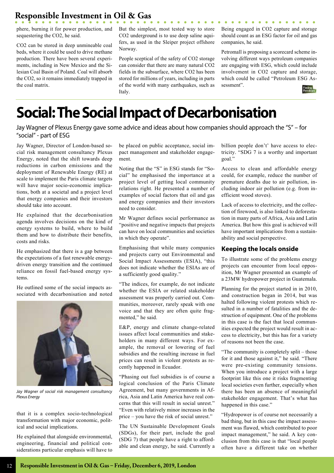phere, burning it for power production, and But the simplest, most tested way to store sequestering the CO2, he said.

CO2 can be stored in deep unmineable coal beds, where it could be used to drive methane production. There have been several experiments, including in New Mexico and the Silesian Coal Basin of Poland. Coal will absorb the CO2, so it remains immediately trapped in the coal matrix.

CO2 underground is to use deep saline aquifers, as used in the Sleiper project offshore Norway.

People sceptical of the safety of CO2 storage can consider that there are many natural CO2 fields in the subsurface, where CO2 has been stored for millions of years, including in parts of the world with many earthquakes, such as Italy.

Being engaged in CO2 capture and storage should count as an ESG factor for oil and gas companies, he said.

. . . . . . . . . . . . **.** 

Petromall is proposing a scorecard scheme involving different ways petroleum companies are engaging with ESG, which could include involvement in CO2 capture and storage, which could be called "Petroleum ESG Assessment".



# **Social: The Social Impact of Decarbonisation**

Jay Wagner of Plexus Energy gave some advice and ideas about how companies should approach the "S" – for "social" - part of ESG

Jay Wagner, Director of London-based social risk management consultancy Plexus Energy, noted that the shift towards deep reductions in carbon emissions and the deployment of Renewable Energy (RE) at scale to implement the Paris climate targets will have major socio-economic implications, both at a societal and a project level that energy companies and their investors should take into account.

He explained that the decarbonisation agenda involves decisions on the kind of energy systems to build, where to build them and how to distribute their benefits, costs and risks.

He emphasized that there is a gap between the expectations of a fast renewable energydriven energy transition and the continued reliance on fossil fuel-based energy systems.

He outlined some of the social impacts associated with decarbonisation and noted



*Jay Wagner of social risk management consultancy Plexus Energy*

that it is a complex socio-technological transformation with major economic, political and social implications.

He explained that alongside environmental, engineering, financial and political considerations particular emphasis will have to be placed on public acceptance, social impact management and stakeholder engagement.

Noting that the "S" in ESG stands for "Social" he emphasised the importance at a project level of getting local community relations right. He presented a number of examples of social factors that oil and gas and energy companies and their investors need to consider.

Mr Wagner defines social performance as "positive and negative impacts that projects can have on local communities and societies in which they operate".

Emphasising that while many companies and projects carry out Environmental and Social Impact Assessments (ESIA), "this does not indicate whether the ESIAs are of a sufficiently good quality."

"The indices, for example, do not indicate whether the ESIA or related stakeholder assessment was properly carried out. Communities, moreover, rarely speak with one voice and that they are often quite fragmented," he said.

E&P, energy and climate change-related issues affect local communities and stakeholders in many different ways. For example, the removal or lowering of fuel subsidies and the resulting increase in fuel prices can result in violent protests as recently happened in Ecuador.

"Phasing out fuel subsidies is of course a logical conclusion of the Paris Climate Agreement, but many governments in Africa, Asia and Latin America have real concerns that this will result in social unrest." "Even with relatively minor increases in the price – you have the risk of social unrest."

The UN Sustainable Development Goals (SDGs), for their part, include the goal (SDG 7) that people have a right to affordable and clean energy, he said. Currently a

billion people don't' have access to electricity. "SDG 7 is a worthy and important goal."

Access to clean and affordable energy could, for example, reduce the number of premature deaths due to air pollution, including indoor air pollution (e.g. from inefficient wood stoves).

Lack of access to electricity, and the collection of firewood, is also linked to deforestation in many parts of Africa, Asia and Latin America. But how this goal is achieved will have important implications from a sustainability and social perspective.

# **Keeping the locals onside**

To illustrate some of the problems energy projects can encounter from local opposition, Mr Wagner presented an example of a 23MW hydropower project in Guatemala.

Planning for the project started in in 2010, and construction began in 2014, but was halted following violent protests which resulted in a number of fatalities and the destruction of equipment. One of the problems in this case is the fact that local communities expected the project would result in access to electricity, but this has for a variety of reasons not been the case.

"The community is completely split – those for it and those against it," he said. "There were pre-existing community tensions. When you introduce a project with a large footprint like this one it risks fragmenting local societies even further, especially when there has been an absence of meaningful stakeholder engagement. That's what has happened in this case."

"Hydropower is of course not necessarily a bad thing, but in this case the impact assessment was flawed, which contributed to poor impact management," he said. A key conclusion from this case is that "local people often have a different take on whether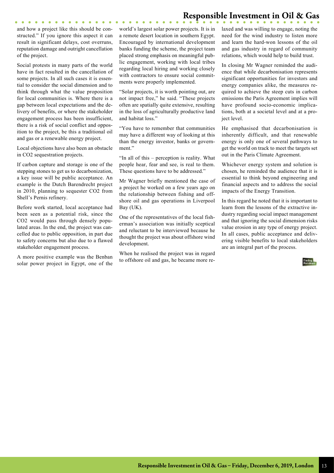and how a project like this should be constructed." If you ignore this aspect it can result in significant delays, cost overruns, reputation damage and outright cancellation of the project.

Social protests in many parts of the world have in fact resulted in the cancellation of some projects. In all such cases it is essential to consider the social dimension and to think through what the value proposition for local communities is. Where there is a gap between local expectations and the delivery of benefits, or where the stakeholder engagement process has been insufficient, there is a risk of social conflict and opposition to the project, be this a traditional oil and gas or a renewable energy project.

Local objections have also been an obstacle in CO2 sequestration projects.

If carbon capture and storage is one of the stepping stones to get us to decarbonization, a key issue will be public acceptance. An example is the Dutch Barendrecht project in 2010, planning to sequester CO2 from Shell's Pernis refinery.

Before work started, local acceptance had been seen as a potential risk, since the CO2 would pass through densely populated areas. In the end, the project was cancelled due to public opposition, in part due to safety concerns but also due to a flawed stakeholder engagement process.

A more positive example was the Benban solar power project in Egypt, one of the world's largest solar power projects. It is in a remote desert location in southern Egypt. Encouraged by international development banks funding the scheme, the project team placed strong emphasis on meaningful public engagement, working with local tribes regarding local hiring and working closely with contractors to ensure social commitments were properly implemented.

"Solar projects, it is worth pointing out, are not impact free," he said. "These projects often are spatially quite extensive, resulting in the loss of agriculturally productive land and habitat loss."

"You have to remember that communities may have a different way of looking at this than the energy investor, banks or government."

"In all of this – perception is reality. What people hear, fear and see, is real to them. These questions have to be addressed."

Mr Wagner briefly mentioned the case of a project he worked on a few years ago on the relationship between fishing and offshore oil and gas operations in Liverpool Bay (UK).

One of the representatives of the local fisherman's association was initially sceptical and reluctant to be interviewed because he thought the project was about offshore wind development.

When he realised the project was in regard to offshore oil and gas, he became more relaxed and was willing to engage, noting the need for the wind industry to listen more and learn the hard-won lessons of the oil and gas industry in regard of community relations, which would help to build trust.

In closing Mr Wagner reminded the audience that while decarbonisation represents significant opportunities for investors and energy companies alike, the measures required to achieve the steep cuts in carbon emissions the Paris Agreement implies will have profound socio-economic implications, both at a societal level and at a project level.

He emphasised that decarbonisation is inherently difficult, and that renewable energy is only one of several pathways to get the world on track to meet the targets set out in the Paris Climate Agreement.

Whichever energy system and solution is chosen, he reminded the audience that it is essential to think beyond engineering and financial aspects and to address the social impacts of the Energy Transition.

In this regard he noted that it is important to learn from the lessons of the extractive industry regarding social impact management and that ignoring the social dimension risks value erosion in any type of energy project. In all cases, public acceptance and delivering visible benefits to local stakeholders are an integral part of the process.